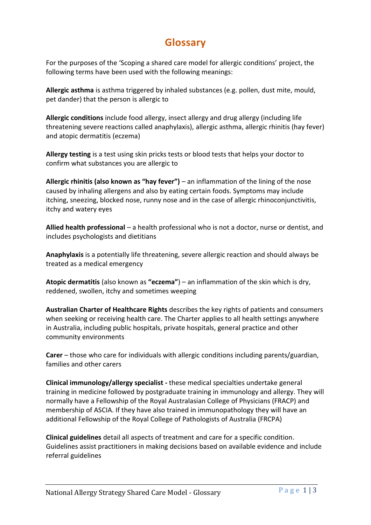## **Glossary**

For the purposes of the 'Scoping a shared care model for allergic conditions' project, the following terms have been used with the following meanings:

**Allergic asthma** is asthma triggered by inhaled substances (e.g. pollen, dust mite, mould, pet dander) that the person is allergic to

**Allergic conditions** include food allergy, insect allergy and drug allergy (including life threatening severe reactions called anaphylaxis), allergic asthma, allergic rhinitis (hay fever) and atopic dermatitis (eczema)

**Allergy testing** is a test using skin pricks tests or blood tests that helps your doctor to confirm what substances you are allergic to

**Allergic rhinitis (also known as "hay fever")** – an inflammation of the lining of the nose caused by inhaling allergens and also by eating certain foods. Symptoms may include itching, sneezing, blocked nose, runny nose and in the case of allergic rhinoconjunctivitis, itchy and watery eyes

**Allied health professional** – a health professional who is not a doctor, nurse or dentist, and includes psychologists and dietitians

**Anaphylaxis** is a potentially life threatening, severe allergic reaction and should always be treated as a medical emergency

**Atopic dermatitis** (also known as **"eczema"**) – an inflammation of the skin which is dry, reddened, swollen, itchy and sometimes weeping

**Australian Charter of Healthcare Rights** describes the key rights of patients and consumers when seeking or receiving health care. The Charter applies to all health settings anywhere in Australia, including public hospitals, private hospitals, general practice and other community environments

**Carer** – those who care for individuals with allergic conditions including parents/guardian, families and other carers

**Clinical immunology/allergy specialist -** these medical specialties undertake general training in medicine followed by postgraduate training in immunology and allergy. They will normally have a Fellowship of the Royal Australasian College of Physicians (FRACP) and membership of ASCIA. If they have also trained in immunopathology they will have an additional Fellowship of the Royal College of Pathologists of Australia (FRCPA)

**Clinical guidelines** detail all aspects of treatment and care for a specific condition. Guidelines assist practitioners in making decisions based on available evidence and include referral guidelines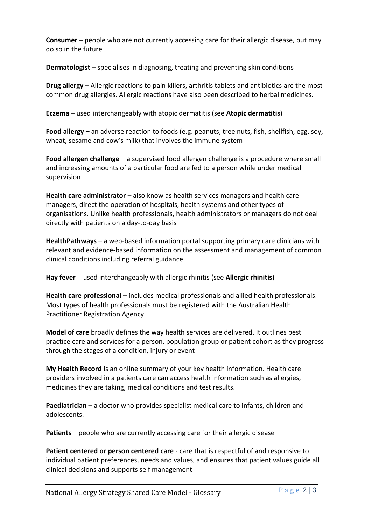**Consumer** – people who are not currently accessing care for their allergic disease, but may do so in the future

**Dermatologist** – specialises in diagnosing, treating and preventing skin conditions

**Drug allergy** – Allergic reactions to pain killers, arthritis tablets and antibiotics are the most common drug allergies. Allergic reactions have also been described to herbal medicines.

**Eczema** – used interchangeably with atopic dermatitis (see **Atopic dermatitis**)

**Food allergy –** an adverse reaction to foods (e.g. peanuts, tree nuts, fish, shellfish, egg, soy, wheat, sesame and cow's milk) that involves the immune system

**Food allergen challenge** – a supervised food allergen challenge is a procedure where small and increasing amounts of a particular food are fed to a person while under medical supervision

**Health care administrator** – also know as health services managers and health care managers, direct the operation of hospitals, health systems and other types of organisations. Unlike health professionals, health administrators or managers do not deal directly with patients on a day-to-day basis

**HealthPathways –** a web-based information portal supporting primary care clinicians with relevant and evidence-based information on the assessment and management of common clinical conditions including referral guidance

**Hay fever** - used interchangeably with allergic rhinitis (see **Allergic rhinitis**)

**Health care professional** – includes medical professionals and allied health professionals. Most types of health professionals must be registered with the Australian Health Practitioner Registration Agency

**Model of care** broadly defines the way health services are delivered. It outlines best practice care and services for a person, population group or patient cohort as they progress through the stages of a condition, injury or event

**My Health Record** is an online summary of your key health information. Health care providers involved in a patients care can access health information such as allergies, medicines they are taking, medical conditions and test results.

**Paediatrician** – a doctor who provides specialist medical care to infants, children and adolescents.

**Patients** – people who are currently accessing care for their allergic disease

**Patient centered or person centered care** - care that is respectful of and responsive to individual patient preferences, needs and values, and ensures that patient values guide all clinical decisions and supports self management